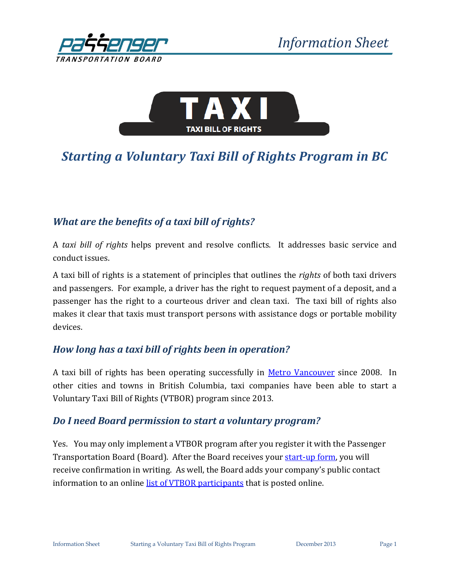



# *Starting a Voluntary Taxi Bill of Rights Program in BC*

## *What are the benefits of a taxi bill of rights?*

A *taxi bill of rights* helps prevent and resolve conflicts. It addresses basic service and conduct issues.

A taxi bill of rights is a statement of principles that outlines the *rights* of both taxi drivers and passengers. For example, a driver has the right to request payment of a deposit, and a passenger has the right to a courteous driver and clean taxi. The taxi bill of rights also makes it clear that taxis must transport persons with assistance dogs or portable mobility devices.

#### *How long has a taxi bill of rights been in operation?*

A taxi bill of rights has been operating successfully in [Metro Vancouver](http://www.taxirights.gov.bc.ca/index.html) since 2008. In other cities and towns in British Columbia, taxi companies have been able to start a Voluntary Taxi Bill of Rights (VTBOR) program since 2013.

#### *Do I need Board permission to start a voluntary program?*

Yes. You may only implement a VTBOR program after you register it with the Passenger Transportation Board (Board). After the Board receives your [start-up form,](http://www.th.gov.bc.ca/forms/getForm.aspx?formId=1328) you will receive confirmation in writing. As well, the Board adds your company's public contact information to an online [list of VTBOR participants](http://www.th.gov.bc.ca/ptb/taxi_rights_companies.htm) that is posted online.